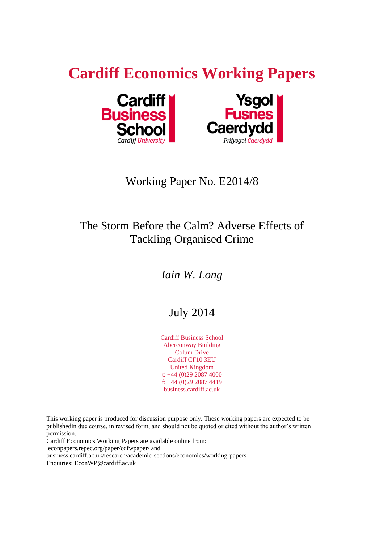# **Cardiff Economics Working Papers**





# Working Paper No. E2014/8

# The Storm Before the Calm? Adverse Effects of Tackling Organised Crime

# *Iain W. Long*

# July 2014

Cardiff Business School Aberconway Building Colum Drive Cardiff CF10 3EU United Kingdom t: +44 (0)29 2087 4000 f: +44 (0)29 2087 4419 business.cardiff.ac.uk

This working paper is produced for discussion purpose only. These working papers are expected to be publishedin due course, in revised form, and should not be quoted or cited without the author's written permission.

Cardiff Economics Working Papers are available online from:

econpapers.repec.org/paper/cdfwpaper/ and

business.cardiff.ac.uk/research/academic-sections/economics/working-papers

Enquiries: EconWP@cardiff.ac.uk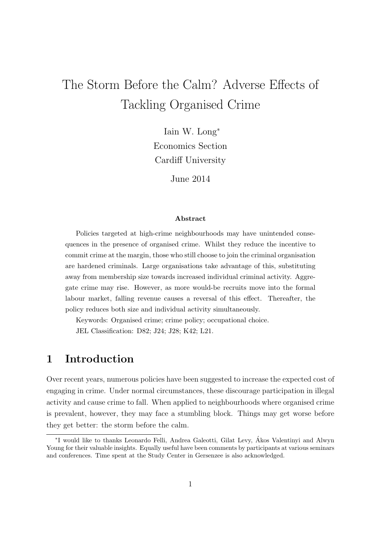# The Storm Before the Calm? Adverse Effects of Tackling Organised Crime

Iain W. Long<sup>∗</sup> Economics Section Cardiff University

June 2014

#### Abstract

Policies targeted at high-crime neighbourhoods may have unintended consequences in the presence of organised crime. Whilst they reduce the incentive to commit crime at the margin, those who still choose to join the criminal organisation are hardened criminals. Large organisations take advantage of this, substituting away from membership size towards increased individual criminal activity. Aggregate crime may rise. However, as more would-be recruits move into the formal labour market, falling revenue causes a reversal of this effect. Thereafter, the policy reduces both size and individual activity simultaneously.

Keywords: Organised crime; crime policy; occupational choice. JEL Classification: D82; J24; J28; K42; L21.

## 1 Introduction

Over recent years, numerous policies have been suggested to increase the expected cost of engaging in crime. Under normal circumstances, these discourage participation in illegal activity and cause crime to fall. When applied to neighbourhoods where organised crime is prevalent, however, they may face a stumbling block. Things may get worse before they get better: the storm before the calm.

<sup>∗</sup> I would like to thanks Leonardo Felli, Andrea Galeotti, Gilat Levy, Akos Valentinyi and Alwyn ´ Young for their valuable insights. Equally useful have been comments by participants at various seminars and conferences. Time spent at the Study Center in Gersenzee is also acknowledged.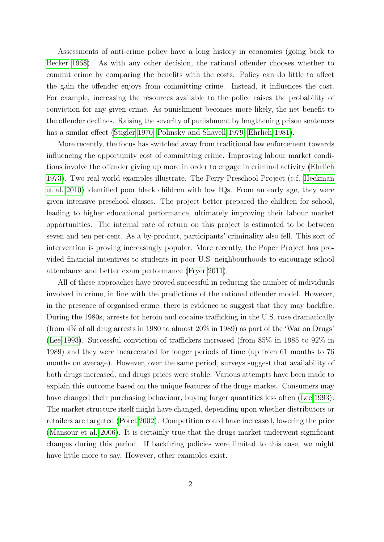Assessments of anti-crime policy have a long history in economics (going back to [Becker 1968\)](#page-26-0). As with any other decision, the rational offender chooses whether to commit crime by comparing the benefits with the costs. Policy can do little to affect the gain the offender enjoys from committing crime. Instead, it influences the cost. For example, increasing the resources available to the police raises the probability of conviction for any given crime. As punishment becomes more likely, the net benefit to the offender declines. Raising the severity of punishment by lengthening prison sentences has a similar effect [\(Stigler 1970;](#page-29-0) [Polinsky and Shavell 1979;](#page-28-0) [Ehrlich 1981\)](#page-27-0).

More recently, the focus has switched away from traditional law enforcement towards influencing the opportunity cost of committing crime. Improving labour market conditions involve the offender giving up more in order to engage in criminal activity [\(Ehrlich](#page-27-1) [1973\)](#page-27-1). Two real-world examples illustrate. The Perry Preschool Project (c.f. [Heckman](#page-27-2) [et al. 2010\)](#page-27-2) identified poor black children with low IQs. From an early age, they were given intensive preschool classes. The project better prepared the children for school, leading to higher educational performance, ultimately improving their labour market opportunities. The internal rate of return on this project is estimated to be between seven and ten per-cent. As a by-product, participants' criminality also fell. This sort of intervention is proving increasingly popular. More recently, the Paper Project has provided financial incentives to students in poor U.S. neighbourhoods to encourage school attendance and better exam performance [\(Fryer 2011\)](#page-27-3).

All of these approaches have proved successful in reducing the number of individuals involved in crime, in line with the predictions of the rational offender model. However, in the presence of organised crime, there is evidence to suggest that they may backfire. During the 1980s, arrests for heroin and cocaine trafficking in the U.S. rose dramatically (from 4% of all drug arrests in 1980 to almost 20% in 1989) as part of the 'War on Drugs' [\(Lee 1993\)](#page-28-1). Successful conviction of traffickers increased (from 85% in 1985 to 92% in 1989) and they were incarcerated for longer periods of time (up from 61 months to 76 months on average). However, over the same period, surveys suggest that availability of both drugs increased, and drugs prices were stable. Various attempts have been made to explain this outcome based on the unique features of the drugs market. Consumers may have changed their purchasing behaviour, buying larger quantities less often [\(Lee 1993\)](#page-28-1). The market structure itself might have changed, depending upon whether distributors or retailers are targeted [\(Poret 2002\)](#page-28-2). Competition could have increased, lowering the price [\(Mansour et al. 2006\)](#page-28-3). It is certainly true that the drugs market underwent significant changes during this period. If backfiring policies were limited to this case, we might have little more to say. However, other examples exist.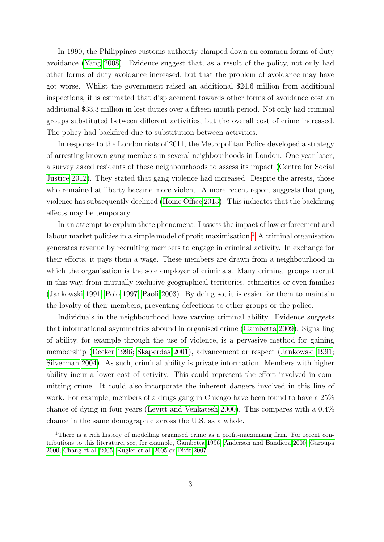In 1990, the Philippines customs authority clamped down on common forms of duty avoidance [\(Yang 2008\)](#page-29-1). Evidence suggest that, as a result of the policy, not only had other forms of duty avoidance increased, but that the problem of avoidance may have got worse. Whilst the government raised an additional \$24.6 million from additional inspections, it is estimated that displacement towards other forms of avoidance cost an additional \$33.3 million in lost duties over a fifteen month period. Not only had criminal groups substituted between different activities, but the overall cost of crime increased. The policy had backfired due to substitution between activities.

In response to the London riots of 2011, the Metropolitan Police developed a strategy of arresting known gang members in several neighbourhoods in London. One year later, a survey asked residents of these neighbourhoods to assess its impact [\(Centre for Social](#page-26-1) [Justice 2012\)](#page-26-1). They stated that gang violence had increased. Despite the arrests, those who remained at liberty became more violent. A more recent report suggests that gang violence has subsequently declined [\(Home Office 2013\)](#page-27-4). This indicates that the backfiring effects may be temporary.

In an attempt to explain these phenomena, I assess the impact of law enforcement and labour market policies in a simple model of profit maximisation.<sup>[1](#page-3-0)</sup> A criminal organisation generates revenue by recruiting members to engage in criminal activity. In exchange for their efforts, it pays them a wage. These members are drawn from a neighbourhood in which the organisation is the sole employer of criminals. Many criminal groups recruit in this way, from mutually exclusive geographical territories, ethnicities or even families [\(Jankowski 1991;](#page-27-5) [Polo 1997;](#page-28-4) [Paoli 2003\)](#page-28-5). By doing so, it is easier for them to maintain the loyalty of their members, preventing defections to other groups or the police.

Individuals in the neighbourhood have varying criminal ability. Evidence suggests that informational asymmetries abound in organised crime [\(Gambetta 2009\)](#page-27-6). Signalling of ability, for example through the use of violence, is a pervasive method for gaining membership [\(Decker 1996;](#page-26-2) [Skaperdas 2001\)](#page-28-6), advancement or respect [\(Jankowski 1991;](#page-27-5) [Silverman 2004\)](#page-28-7). As such, criminal ability is private information. Members with higher ability incur a lower cost of activity. This could represent the effort involved in committing crime. It could also incorporate the inherent dangers involved in this line of work. For example, members of a drugs gang in Chicago have been found to have a 25% chance of dying in four years [\(Levitt and Venkatesh 2000\)](#page-28-8). This compares with a 0.4% chance in the same demographic across the U.S. as a whole.

<span id="page-3-0"></span><sup>&</sup>lt;sup>1</sup>There is a rich history of modelling organised crime as a profit-maximising firm. For recent contributions to this literature, see, for example, [Gambetta 1996;](#page-27-7) [Anderson and Bandiera 2000;](#page-26-3) [Garoupa](#page-27-8) [2000;](#page-27-8) [Chang et al. 2005;](#page-26-4) [Kugler et al. 2005](#page-27-9) or [Dixit 2007.](#page-27-10)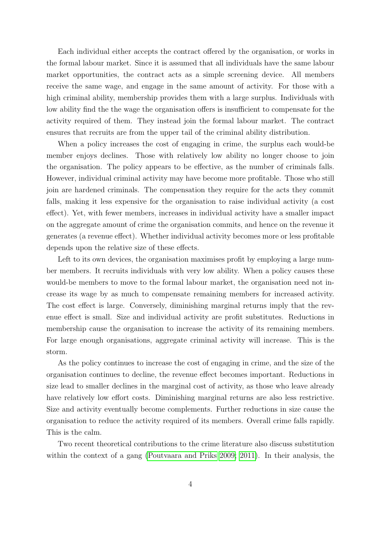Each individual either accepts the contract offered by the organisation, or works in the formal labour market. Since it is assumed that all individuals have the same labour market opportunities, the contract acts as a simple screening device. All members receive the same wage, and engage in the same amount of activity. For those with a high criminal ability, membership provides them with a large surplus. Individuals with low ability find the the wage the organisation offers is insufficient to compensate for the activity required of them. They instead join the formal labour market. The contract ensures that recruits are from the upper tail of the criminal ability distribution.

When a policy increases the cost of engaging in crime, the surplus each would-be member enjoys declines. Those with relatively low ability no longer choose to join the organisation. The policy appears to be effective, as the number of criminals falls. However, individual criminal activity may have become more profitable. Those who still join are hardened criminals. The compensation they require for the acts they commit falls, making it less expensive for the organisation to raise individual activity (a cost effect). Yet, with fewer members, increases in individual activity have a smaller impact on the aggregate amount of crime the organisation commits, and hence on the revenue it generates (a revenue effect). Whether individual activity becomes more or less profitable depends upon the relative size of these effects.

Left to its own devices, the organisation maximises profit by employing a large number members. It recruits individuals with very low ability. When a policy causes these would-be members to move to the formal labour market, the organisation need not increase its wage by as much to compensate remaining members for increased activity. The cost effect is large. Conversely, diminishing marginal returns imply that the revenue effect is small. Size and individual activity are profit substitutes. Reductions in membership cause the organisation to increase the activity of its remaining members. For large enough organisations, aggregate criminal activity will increase. This is the storm.

As the policy continues to increase the cost of engaging in crime, and the size of the organisation continues to decline, the revenue effect becomes important. Reductions in size lead to smaller declines in the marginal cost of activity, as those who leave already have relatively low effort costs. Diminishing marginal returns are also less restrictive. Size and activity eventually become complements. Further reductions in size cause the organisation to reduce the activity required of its members. Overall crime falls rapidly. This is the calm.

Two recent theoretical contributions to the crime literature also discuss substitution within the context of a gang [\(Poutvaara and Priks 2009;](#page-28-9) [2011\)](#page-28-10). In their analysis, the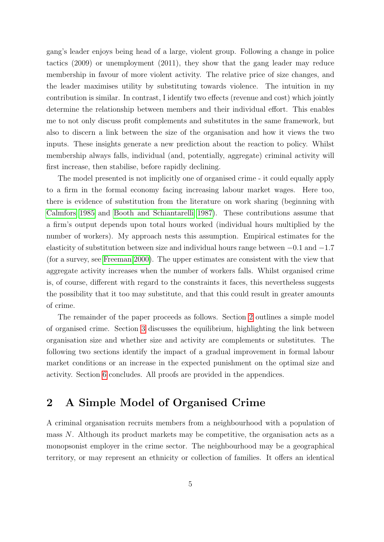gang's leader enjoys being head of a large, violent group. Following a change in police tactics (2009) or unemployment (2011), they show that the gang leader may reduce membership in favour of more violent activity. The relative price of size changes, and the leader maximises utility by substituting towards violence. The intuition in my contribution is similar. In contrast, I identify two effects (revenue and cost) which jointly determine the relationship between members and their individual effort. This enables me to not only discuss profit complements and substitutes in the same framework, but also to discern a link between the size of the organisation and how it views the two inputs. These insights generate a new prediction about the reaction to policy. Whilst membership always falls, individual (and, potentially, aggregate) criminal activity will first increase, then stabilise, before rapidly declining.

The model presented is not implicitly one of organised crime - it could equally apply to a firm in the formal economy facing increasing labour market wages. Here too, there is evidence of substitution from the literature on work sharing (beginning with [Calmfors 1985](#page-26-5) and [Booth and Schiantarelli 1987\)](#page-26-6). These contributions assume that a firm's output depends upon total hours worked (individual hours multiplied by the number of workers). My approach nests this assumption. Empirical estimates for the elasticity of substitution between size and individual hours range between  $-0.1$  and  $-1.7$ (for a survey, see [Freeman 2000\)](#page-27-11). The upper estimates are consistent with the view that aggregate activity increases when the number of workers falls. Whilst organised crime is, of course, different with regard to the constraints it faces, this nevertheless suggests the possibility that it too may substitute, and that this could result in greater amounts of crime.

The remainder of the paper proceeds as follows. Section [2](#page-5-0) outlines a simple model of organised crime. Section [3](#page-7-0) discusses the equilibrium, highlighting the link between organisation size and whether size and activity are complements or substitutes. The following two sections identify the impact of a gradual improvement in formal labour market conditions or an increase in the expected punishment on the optimal size and activity. Section [6](#page-20-0) concludes. All proofs are provided in the appendices.

## <span id="page-5-0"></span>2 A Simple Model of Organised Crime

A criminal organisation recruits members from a neighbourhood with a population of mass  $N$ . Although its product markets may be competitive, the organisation acts as a monopsonist employer in the crime sector. The neighbourhood may be a geographical territory, or may represent an ethnicity or collection of families. It offers an identical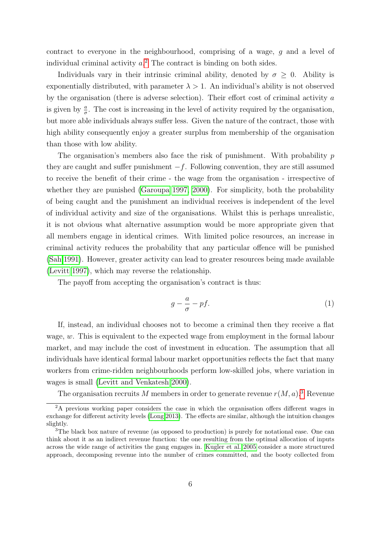contract to everyone in the neighbourhood, comprising of a wage,  $q$  and a level of individual criminal activity  $a^2$  $a^2$ . The contract is binding on both sides.

Individuals vary in their intrinsic criminal ability, denoted by  $\sigma \geq 0$ . Ability is exponentially distributed, with parameter  $\lambda > 1$ . An individual's ability is not observed by the organisation (there is adverse selection). Their effort cost of criminal activity a is given by  $\frac{a}{\sigma}$ . The cost is increasing in the level of activity required by the organisation, but more able individuals always suffer less. Given the nature of the contract, those with high ability consequently enjoy a greater surplus from membership of the organisation than those with low ability.

The organisation's members also face the risk of punishment. With probability  $p$ they are caught and suffer punishment  $-f$ . Following convention, they are still assumed to receive the benefit of their crime - the wage from the organisation - irrespective of whether they are punished [\(Garoupa 1997,](#page-27-12) [2000\)](#page-27-8). For simplicity, both the probability of being caught and the punishment an individual receives is independent of the level of individual activity and size of the organisations. Whilst this is perhaps unrealistic, it is not obvious what alternative assumption would be more appropriate given that all members engage in identical crimes. With limited police resources, an increase in criminal activity reduces the probability that any particular offence will be punished [\(Sah 1991\)](#page-28-11). However, greater activity can lead to greater resources being made available [\(Levitt 1997\)](#page-28-12), which may reverse the relationship.

The payoff from accepting the organisation's contract is thus:

$$
g - \frac{a}{\sigma} - pf. \tag{1}
$$

If, instead, an individual chooses not to become a criminal then they receive a flat wage, w. This is equivalent to the expected wage from employment in the formal labour market, and may include the cost of investment in education. The assumption that all individuals have identical formal labour market opportunities reflects the fact that many workers from crime-ridden neighbourhoods perform low-skilled jobs, where variation in wages is small [\(Levitt and Venkatesh 2000\)](#page-28-8).

The organisation recruits M members in order to generate revenue  $r(M, a)$ .<sup>[3](#page-6-1)</sup> Revenue

<span id="page-6-0"></span><sup>&</sup>lt;sup>2</sup>A previous working paper considers the case in which the organisation offers different wages in exchange for different activity levels [\(Long 2013\)](#page-28-13). The effects are similar, although the intuition changes slightly.

<span id="page-6-1"></span><sup>&</sup>lt;sup>3</sup>The black box nature of revenue (as opposed to production) is purely for notational ease. One can think about it as an indirect revenue function: the one resulting from the optimal allocation of inputs across the wide range of activities the gang engages in. [Kugler et al. 2005](#page-27-9) consider a more structured approach, decomposing revenue into the number of crimes committed, and the booty collected from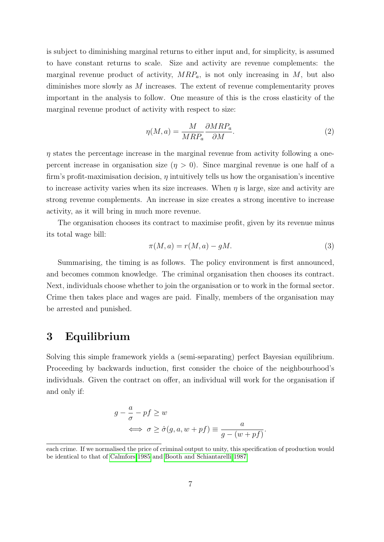is subject to diminishing marginal returns to either input and, for simplicity, is assumed to have constant returns to scale. Size and activity are revenue complements: the marginal revenue product of activity,  $MRP_a$ , is not only increasing in M, but also diminishes more slowly as M increases. The extent of revenue complementarity proves important in the analysis to follow. One measure of this is the cross elasticity of the marginal revenue product of activity with respect to size:

$$
\eta(M, a) = \frac{M}{MRP_a} \frac{\partial MRP_a}{\partial M}.
$$
\n(2)

 $\eta$  states the percentage increase in the marginal revenue from activity following a onepercent increase in organisation size  $(\eta > 0)$ . Since marginal revenue is one half of a firm's profit-maximisation decision,  $\eta$  intuitively tells us how the organisation's incentive to increase activity varies when its size increases. When  $\eta$  is large, size and activity are strong revenue complements. An increase in size creates a strong incentive to increase activity, as it will bring in much more revenue.

The organisation chooses its contract to maximise profit, given by its revenue minus its total wage bill:

$$
\pi(M, a) = r(M, a) - gM.
$$
\n<sup>(3)</sup>

Summarising, the timing is as follows. The policy environment is first announced, and becomes common knowledge. The criminal organisation then chooses its contract. Next, individuals choose whether to join the organisation or to work in the formal sector. Crime then takes place and wages are paid. Finally, members of the organisation may be arrested and punished.

#### <span id="page-7-0"></span>3 Equilibrium

Solving this simple framework yields a (semi-separating) perfect Bayesian equilibrium. Proceeding by backwards induction, first consider the choice of the neighbourhood's individuals. Given the contract on offer, an individual will work for the organisation if and only if:

$$
g - \frac{a}{\sigma} - pf \ge w
$$
  

$$
\iff \sigma \ge \hat{\sigma}(g, a, w + pf) \equiv \frac{a}{g - (w + pf)}.
$$

each crime. If we normalised the price of criminal output to unity, this specification of production would be identical to that of [Calmfors 1985](#page-26-5) and [Booth and Schiantarelli 1987.](#page-26-6)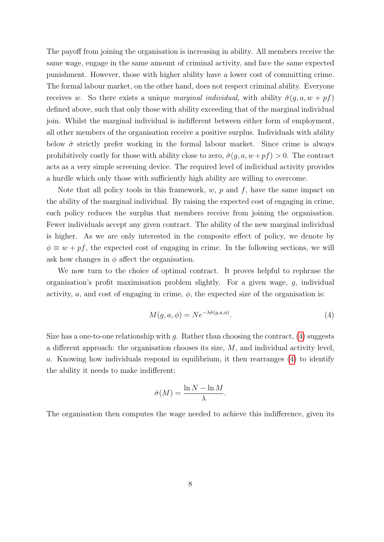The payoff from joining the organisation is increasing in ability. All members receive the same wage, engage in the same amount of criminal activity, and face the same expected punishment. However, those with higher ability have a lower cost of committing crime. The formal labour market, on the other hand, does not respect criminal ability. Everyone receives w. So there exists a unique marginal individual, with ability  $\hat{\sigma}(q, a, w + pf)$ defined above, such that only those with ability exceeding that of the marginal individual join. Whilst the marginal individual is indifferent between either form of employment, all other members of the organisation receive a positive surplus. Individuals with ability below  $\hat{\sigma}$  strictly prefer working in the formal labour market. Since crime is always prohibitively costly for those with ability close to zero,  $\hat{\sigma}(g, a, w+p f) > 0$ . The contract acts as a very simple screening device. The required level of individual activity provides a hurdle which only those with sufficiently high ability are willing to overcome.

Note that all policy tools in this framework,  $w, p$  and  $f$ , have the same impact on the ability of the marginal individual. By raising the expected cost of engaging in crime, each policy reduces the surplus that members receive from joining the organisation. Fewer individuals accept any given contract. The ability of the new marginal individual is higher. As we are only interested in the composite effect of policy, we denote by  $\phi \equiv w + pf$ , the expected cost of engaging in crime. In the following sections, we will ask how changes in  $\phi$  affect the organisation.

We now turn to the choice of optimal contract. It proves helpful to rephrase the organisation's profit maximisation problem slightly. For a given wage, g, individual activity, a, and cost of engaging in crime,  $\phi$ , the expected size of the organisation is:

<span id="page-8-0"></span>
$$
M(g, a, \phi) = N e^{-\lambda \hat{\sigma}(g, a, \phi)}.
$$
\n<sup>(4)</sup>

Size has a one-to-one relationship with  $g$ . Rather than choosing the contract, [\(4\)](#page-8-0) suggests a different approach: the organisation chooses its size, M, and individual activity level, a. Knowing how individuals respond in equilibrium, it then rearranges [\(4\)](#page-8-0) to identify the ability it needs to make indifferent:

$$
\hat{\sigma}(M) = \frac{\ln N - \ln M}{\lambda}.
$$

The organisation then computes the wage needed to achieve this indifference, given its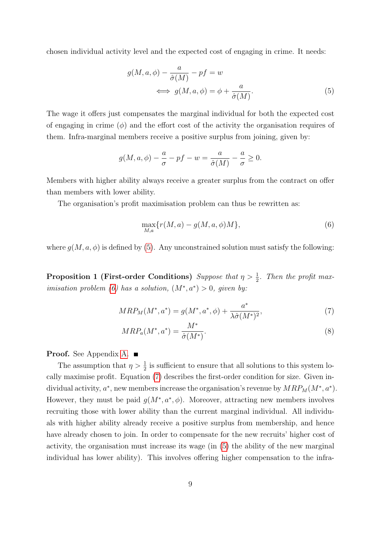chosen individual activity level and the expected cost of engaging in crime. It needs:

<span id="page-9-0"></span>
$$
g(M, a, \phi) - \frac{a}{\hat{\sigma}(M)} - pf = w
$$
  

$$
\iff g(M, a, \phi) = \phi + \frac{a}{\hat{\sigma}(M)}.
$$
 (5)

The wage it offers just compensates the marginal individual for both the expected cost of engaging in crime  $(\phi)$  and the effort cost of the activity the organisation requires of them. Infra-marginal members receive a positive surplus from joining, given by:

$$
g(M, a, \phi) - \frac{a}{\sigma} - pf - w = \frac{a}{\hat{\sigma}(M)} - \frac{a}{\sigma} \ge 0.
$$

Members with higher ability always receive a greater surplus from the contract on offer than members with lower ability.

The organisation's profit maximisation problem can thus be rewritten as:

<span id="page-9-2"></span><span id="page-9-1"></span>
$$
\max_{M,a} \{ r(M, a) - g(M, a, \phi)M \},
$$
\n(6)

<span id="page-9-4"></span>where  $g(M, a, \phi)$  is defined by [\(5\)](#page-9-0). Any unconstrained solution must satisfy the following:

**Proposition 1 (First-order Conditions)** Suppose that  $\eta > \frac{1}{2}$ . Then the profit max-imisation problem [\(6\)](#page-9-1) has a solution,  $(M^*, a^*) > 0$ , given by:

$$
MRP_M(M^*, a^*) = g(M^*, a^*, \phi) + \frac{a^*}{\lambda \hat{\sigma}(M^*)^2},\tag{7}
$$

<span id="page-9-3"></span>
$$
MRP_a(M^*, a^*) = \frac{M^*}{\hat{\sigma}(M^*)}.\tag{8}
$$

**Proof.** See Appendix [A.](#page-21-0) ■

The assumption that  $\eta > \frac{1}{2}$  is sufficient to ensure that all solutions to this system locally maximise profit. Equation [\(7\)](#page-9-2) describes the first-order condition for size. Given individual activity,  $a^*$ , new members increase the organisation's revenue by  $MRP_M(M^*, a^*)$ . However, they must be paid  $g(M^*, a^*, \phi)$ . Moreover, attracting new members involves recruiting those with lower ability than the current marginal individual. All individuals with higher ability already receive a positive surplus from membership, and hence have already chosen to join. In order to compensate for the new recruits' higher cost of activity, the organisation must increase its wage (in [\(5\)](#page-9-0) the ability of the new marginal individual has lower ability). This involves offering higher compensation to the infra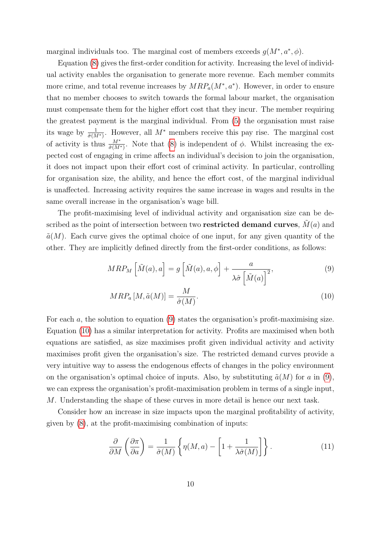marginal individuals too. The marginal cost of members exceeds  $g(M^*, a^*, \phi)$ .

Equation [\(8\)](#page-9-3) gives the first-order condition for activity. Increasing the level of individual activity enables the organisation to generate more revenue. Each member commits more crime, and total revenue increases by  $MRP_a(M^*, a^*)$ . However, in order to ensure that no member chooses to switch towards the formal labour market, the organisation must compensate them for the higher effort cost that they incur. The member requiring the greatest payment is the marginal individual. From [\(5\)](#page-9-0) the organisation must raise its wage by  $\frac{1}{\hat{\sigma}(M^*)}$ . However, all  $M^*$  members receive this pay rise. The marginal cost of activity is thus  $\frac{M^*}{\hat{\sigma}(M^*)}$ . Note that [\(8\)](#page-9-3) is independent of  $\phi$ . Whilst increasing the expected cost of engaging in crime affects an individual's decision to join the organisation, it does not impact upon their effort cost of criminal activity. In particular, controlling for organisation size, the ability, and hence the effort cost, of the marginal individual is unaffected. Increasing activity requires the same increase in wages and results in the same overall increase in the organisation's wage bill.

The profit-maximising level of individual activity and organisation size can be described as the point of intersection between two **restricted demand curves**,  $M(a)$  and  $\tilde{a}(M)$ . Each curve gives the optimal choice of one input, for any given quantity of the other. They are implicitly defined directly from the first-order conditions, as follows:

$$
MRP_M\left[\tilde{M}(a),a\right] = g\left[\tilde{M}(a),a,\phi\right] + \frac{a}{\lambda \hat{\sigma}\left[\tilde{M}(a)\right]^2},\tag{9}
$$

<span id="page-10-1"></span><span id="page-10-0"></span>
$$
MRP_a\left[M,\tilde{a}(M)\right] = \frac{M}{\hat{\sigma}(M)}.\tag{10}
$$

For each a, the solution to equation [\(9\)](#page-10-0) states the organisation's profit-maximising size. Equation [\(10\)](#page-10-1) has a similar interpretation for activity. Profits are maximised when both equations are satisfied, as size maximises profit given individual activity and activity maximises profit given the organisation's size. The restricted demand curves provide a very intuitive way to assess the endogenous effects of changes in the policy environment on the organisation's optimal choice of inputs. Also, by substituting  $\tilde{a}(M)$  for a in [\(9\)](#page-10-0), we can express the organisation's profit-maximisation problem in terms of a single input, M. Understanding the shape of these curves in more detail is hence our next task.

Consider how an increase in size impacts upon the marginal profitability of activity, given by [\(8\)](#page-9-3), at the profit-maximising combination of inputs:

<span id="page-10-2"></span>
$$
\frac{\partial}{\partial M} \left( \frac{\partial \pi}{\partial a} \right) = \frac{1}{\hat{\sigma}(M)} \left\{ \eta(M, a) - \left[ 1 + \frac{1}{\lambda \hat{\sigma}(M)} \right] \right\}.
$$
 (11)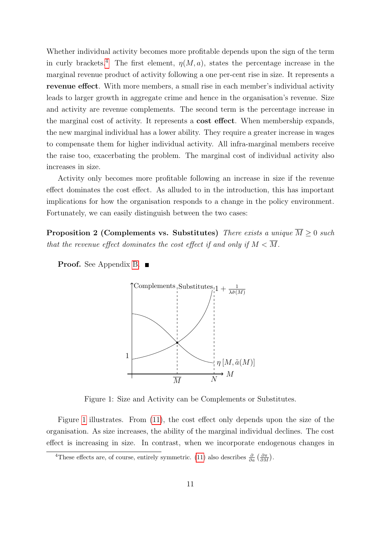Whether individual activity becomes more profitable depends upon the sign of the term in curly brackets.<sup>[4](#page-11-0)</sup> The first element,  $\eta(M, a)$ , states the percentage increase in the marginal revenue product of activity following a one per-cent rise in size. It represents a revenue effect. With more members, a small rise in each member's individual activity leads to larger growth in aggregate crime and hence in the organisation's revenue. Size and activity are revenue complements. The second term is the percentage increase in the marginal cost of activity. It represents a cost effect. When membership expands, the new marginal individual has a lower ability. They require a greater increase in wages to compensate them for higher individual activity. All infra-marginal members receive the raise too, exacerbating the problem. The marginal cost of individual activity also increases in size.

Activity only becomes more profitable following an increase in size if the revenue effect dominates the cost effect. As alluded to in the introduction, this has important implications for how the organisation responds to a change in the policy environment. Fortunately, we can easily distinguish between the two cases:

<span id="page-11-2"></span>Proposition 2 (Complements vs. Substitutes) There exists a unique  $\overline{M} \geq 0$  such that the revenue effect dominates the cost effect if and only if  $M < \overline{M}$ .

**Proof.** See Appendix [B.](#page-22-0) ■



<span id="page-11-1"></span>Figure 1: Size and Activity can be Complements or Substitutes.

Figure [1](#page-11-1) illustrates. From [\(11\)](#page-10-2), the cost effect only depends upon the size of the organisation. As size increases, the ability of the marginal individual declines. The cost effect is increasing in size. In contrast, when we incorporate endogenous changes in

<span id="page-11-0"></span><sup>&</sup>lt;sup>4</sup>These effects are, of course, entirely symmetric. [\(11\)](#page-10-2) also describes  $\frac{\partial}{\partial a} \left( \frac{\partial \pi}{\partial M} \right)$ .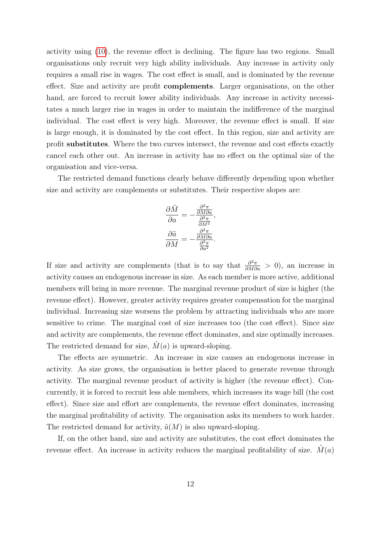activity using [\(10\)](#page-10-1), the revenue effect is declining. The figure has two regions. Small organisations only recruit very high ability individuals. Any increase in activity only requires a small rise in wages. The cost effect is small, and is dominated by the revenue effect. Size and activity are profit complements. Larger organisations, on the other hand, are forced to recruit lower ability individuals. Any increase in activity necessitates a much larger rise in wages in order to maintain the indifference of the marginal individual. The cost effect is very high. Moreover, the revenue effect is small. If size is large enough, it is dominated by the cost effect. In this region, size and activity are profit substitutes. Where the two curves intersect, the revenue and cost effects exactly cancel each other out. An increase in activity has no effect on the optimal size of the organisation and vice-versa.

The restricted demand functions clearly behave differently depending upon whether size and activity are complements or substitutes. Their respective slopes are:

$$
\frac{\partial \tilde{M}}{\partial a} = -\frac{\frac{\partial^2 \pi}{\partial M \partial a}}{\frac{\partial^2 \pi}{\partial M^2}},
$$

$$
\frac{\partial \tilde{a}}{\partial M} = -\frac{\frac{\partial^2 \pi}{\partial M \partial a}}{\frac{\partial^2 \pi}{\partial a^2}}.
$$

If size and activity are complements (that is to say that  $\frac{\partial^2 \pi}{\partial M \partial a} > 0$ ), an increase in activity causes an endogenous increase in size. As each member is more active, additional members will bring in more revenue. The marginal revenue product of size is higher (the revenue effect). However, greater activity requires greater compensation for the marginal individual. Increasing size worsens the problem by attracting individuals who are more sensitive to crime. The marginal cost of size increases too (the cost effect). Since size and activity are complements, the revenue effect dominates, and size optimally increases. The restricted demand for size,  $\tilde{M}(a)$  is upward-sloping.

The effects are symmetric. An increase in size causes an endogenous increase in activity. As size grows, the organisation is better placed to generate revenue through activity. The marginal revenue product of activity is higher (the revenue effect). Concurrently, it is forced to recruit less able members, which increases its wage bill (the cost effect). Since size and effort are complements, the revenue effect dominates, increasing the marginal profitability of activity. The organisation asks its members to work harder. The restricted demand for activity,  $\tilde{a}(M)$  is also upward-sloping.

If, on the other hand, size and activity are substitutes, the cost effect dominates the revenue effect. An increase in activity reduces the marginal profitability of size.  $M(a)$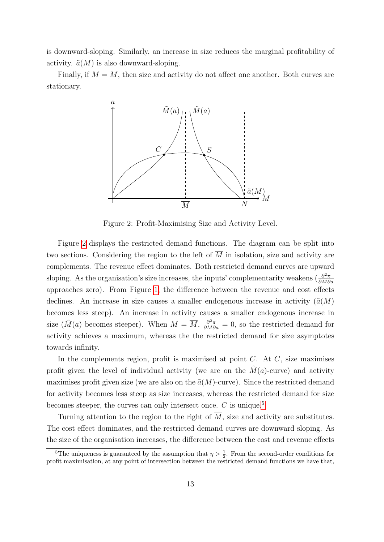is downward-sloping. Similarly, an increase in size reduces the marginal profitability of activity.  $\tilde{a}(M)$  is also downward-sloping.

Finally, if  $M = \overline{M}$ , then size and activity do not affect one another. Both curves are stationary.



<span id="page-13-0"></span>Figure 2: Profit-Maximising Size and Activity Level.

Figure [2](#page-13-0) displays the restricted demand functions. The diagram can be split into two sections. Considering the region to the left of  $\overline{M}$  in isolation, size and activity are complements. The revenue effect dominates. Both restricted demand curves are upward sloping. As the organisation's size increases, the inputs' complementarity weakens  $\left(\frac{\partial^2 \pi}{\partial M \partial \phi}\right)$ ∂M∂a approaches zero). From Figure [1,](#page-11-1) the difference between the revenue and cost effects declines. An increase in size causes a smaller endogenous increase in activity  $(\tilde{a}(M))$ becomes less steep). An increase in activity causes a smaller endogenous increase in size  $(\tilde{M}(a)$  becomes steeper). When  $M = \overline{M}$ ,  $\frac{\partial^2 \pi}{\partial M \partial a} = 0$ , so the restricted demand for activity achieves a maximum, whereas the the restricted demand for size asymptotes towards infinity.

In the complements region, profit is maximised at point  $C$ . At  $C$ , size maximises profit given the level of individual activity (we are on the  $\tilde{M}(a)$ -curve) and activity maximises profit given size (we are also on the  $\tilde{a}(M)$ -curve). Since the restricted demand for activity becomes less steep as size increases, whereas the restricted demand for size becomes steeper, the curves can only intersect once.  $C$  is unique.<sup>[5](#page-13-1)</sup>

Turning attention to the region to the right of  $\overline{M}$ , size and activity are substitutes. The cost effect dominates, and the restricted demand curves are downward sloping. As the size of the organisation increases, the difference between the cost and revenue effects

<span id="page-13-1"></span><sup>&</sup>lt;sup>5</sup>The uniqueness is guaranteed by the assumption that  $\eta > \frac{1}{2}$ . From the second-order conditions for profit maximisation, at any point of intersection between the restricted demand functions we have that,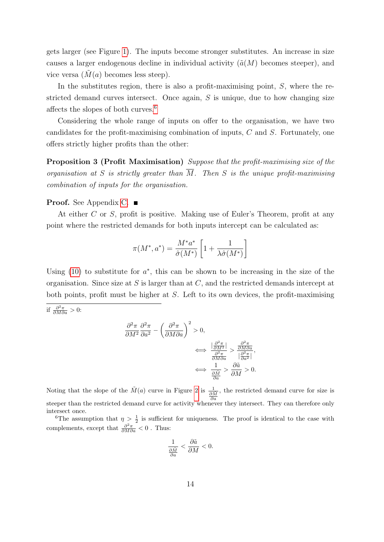gets larger (see Figure [1\)](#page-11-1). The inputs become stronger substitutes. An increase in size causes a larger endogenous decline in individual activity  $(\tilde{a}(M))$  becomes steeper), and vice versa  $(M(a)$  becomes less steep).

In the substitutes region, there is also a profit-maximising point,  $S$ , where the restricted demand curves intersect. Once again,  $S$  is unique, due to how changing size affects the slopes of both curves.[6](#page-14-0)

Considering the whole range of inputs on offer to the organisation, we have two candidates for the profit-maximising combination of inputs, C and S. Fortunately, one offers strictly higher profits than the other:

Proposition 3 (Profit Maximisation) Suppose that the profit-maximising size of the organisation at S is strictly greater than  $\overline{M}$ . Then S is the unique profit-maximising combination of inputs for the organisation.

#### **Proof.** See Appendix [C.](#page-23-0) ■

At either C or S, profit is positive. Making use of Euler's Theorem, profit at any point where the restricted demands for both inputs intercept can be calculated as:

<span id="page-14-1"></span>
$$
\pi(M^*,a^*) = \frac{M^*a^*}{\hat{\sigma}(M^*)}\left[1 + \frac{1}{\lambda \hat{\sigma}(M^*)}\right]
$$

Using  $(10)$  to substitute for  $a^*$ , this can be shown to be increasing in the size of the organisation. Since size at S is larger than at  $C$ , and the restricted demands intercept at both points, profit must be higher at S. Left to its own devices, the profit-maximising

if  $\frac{\partial^2 \pi}{\partial M \partial a} > 0$ :

$$
\frac{\partial^2 \pi}{\partial M^2} \frac{\partial^2 \pi}{\partial a^2} - \left(\frac{\partial^2 \pi}{\partial M \partial a}\right)^2 > 0,
$$
  

$$
\iff \frac{\left|\frac{\partial^2 \pi}{\partial M^2}\right|}{\frac{\partial^2 \pi}{\partial M \partial a}} > \frac{\frac{\partial^2 \pi}{\partial M \partial a}}{\left|\frac{\partial^2 \pi}{\partial a^2}\right|},
$$
  

$$
\iff \frac{1}{\frac{\partial \tilde{M}}{\partial a}} > \frac{\partial \tilde{a}}{\partial M} > 0.
$$

Noting that the slope of the  $\tilde{M}(a)$  curve in Figure [2](#page-13-0) is  $\frac{1}{\partial \tilde{M}}$ , the restricted demand curve for size is steeper than the restricted demand curve for activity whenever they intersect. They can therefore only intersect once.

<span id="page-14-0"></span><sup>6</sup>The assumption that  $\eta > \frac{1}{2}$  is sufficient for uniqueness. The proof is identical to the case with complements, except that  $\frac{\partial^2 \pi}{\partial M \partial a} < 0$ . Thus:

$$
\frac{1}{\frac{\partial \tilde{M}}{\partial a}} < \frac{\partial \tilde{a}}{\partial M} < 0.
$$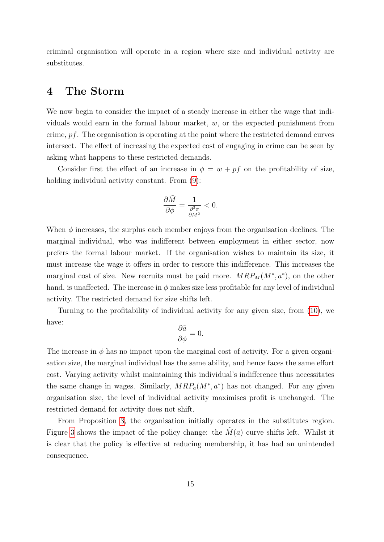criminal organisation will operate in a region where size and individual activity are substitutes.

#### 4 The Storm

We now begin to consider the impact of a steady increase in either the wage that individuals would earn in the formal labour market, w, or the expected punishment from crime, pf. The organisation is operating at the point where the restricted demand curves intersect. The effect of increasing the expected cost of engaging in crime can be seen by asking what happens to these restricted demands.

Consider first the effect of an increase in  $\phi = w + pf$  on the profitability of size, holding individual activity constant. From  $(9)$ :

$$
\frac{\partial \tilde{M}}{\partial \phi} = \frac{1}{\frac{\partial^2 \pi}{\partial M^2}} < 0.
$$

When  $\phi$  increases, the surplus each member enjoys from the organisation declines. The marginal individual, who was indifferent between employment in either sector, now prefers the formal labour market. If the organisation wishes to maintain its size, it must increase the wage it offers in order to restore this indifference. This increases the marginal cost of size. New recruits must be paid more.  $MRP_M(M^*, a^*)$ , on the other hand, is unaffected. The increase in  $\phi$  makes size less profitable for any level of individual activity. The restricted demand for size shifts left.

Turning to the profitability of individual activity for any given size, from [\(10\)](#page-10-1), we have:

$$
\frac{\partial \tilde{a}}{\partial \phi} = 0.
$$

The increase in  $\phi$  has no impact upon the marginal cost of activity. For a given organisation size, the marginal individual has the same ability, and hence faces the same effort cost. Varying activity whilst maintaining this individual's indifference thus necessitates the same change in wages. Similarly,  $MRP_a(M^*, a^*)$  has not changed. For any given organisation size, the level of individual activity maximises profit is unchanged. The restricted demand for activity does not shift.

From Proposition [3,](#page-14-1) the organisation initially operates in the substitutes region. Figure [3](#page-16-0) shows the impact of the policy change: the  $\tilde{M}(a)$  curve shifts left. Whilst it is clear that the policy is effective at reducing membership, it has had an unintended consequence.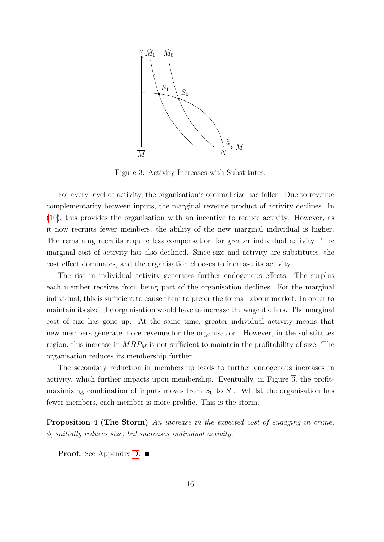

<span id="page-16-0"></span>Figure 3: Activity Increases with Substitutes.

For every level of activity, the organisation's optimal size has fallen. Due to revenue complementarity between inputs, the marginal revenue product of activity declines. In [\(10\)](#page-10-1), this provides the organisation with an incentive to reduce activity. However, as it now recruits fewer members, the ability of the new marginal individual is higher. The remaining recruits require less compensation for greater individual activity. The marginal cost of activity has also declined. Since size and activity are substitutes, the cost effect dominates, and the organisation chooses to increase its activity.

The rise in individual activity generates further endogenous effects. The surplus each member receives from being part of the organisation declines. For the marginal individual, this is sufficient to cause them to prefer the formal labour market. In order to maintain its size, the organisation would have to increase the wage it offers. The marginal cost of size has gone up. At the same time, greater individual activity means that new members generate more revenue for the organisation. However, in the substitutes region, this increase in  $MRP_M$  is not sufficient to maintain the profitability of size. The organisation reduces its membership further.

The secondary reduction in membership leads to further endogenous increases in activity, which further impacts upon membership. Eventually, in Figure [3,](#page-16-0) the profitmaximising combination of inputs moves from  $S_0$  to  $S_1$ . Whilst the organisation has fewer members, each member is more prolific. This is the storm.

<span id="page-16-1"></span>Proposition 4 (The Storm) An increase in the expected cost of engaging in crime,  $\phi$ , initially reduces size, but increases individual activity.

Proof. See Appendix [D.](#page-23-1) ■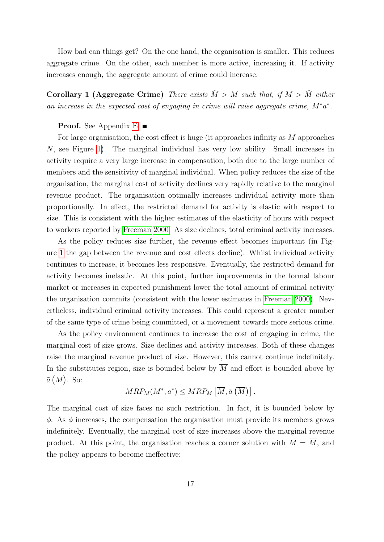How bad can things get? On the one hand, the organisation is smaller. This reduces aggregate crime. On the other, each member is more active, increasing it. If activity increases enough, the aggregate amount of crime could increase.

<span id="page-17-0"></span>Corollary 1 (Aggregate Crime) There exists  $\hat{M} > \overline{M}$  such that, if  $M > \hat{M}$  either an increase in the expected cost of engaging in crime will raise aggregate crime,  $M^*a^*$ .

#### **Proof.** See Appendix  $E$

For large organisation, the cost effect is huge (it approaches infinity as M approaches N, see Figure [1\)](#page-11-1). The marginal individual has very low ability. Small increases in activity require a very large increase in compensation, both due to the large number of members and the sensitivity of marginal individual. When policy reduces the size of the organisation, the marginal cost of activity declines very rapidly relative to the marginal revenue product. The organisation optimally increases individual activity more than proportionally. In effect, the restricted demand for activity is elastic with respect to size. This is consistent with the higher estimates of the elasticity of hours with respect to workers reported by [Freeman 2000.](#page-27-11) As size declines, total criminal activity increases.

As the policy reduces size further, the revenue effect becomes important (in Figure [1](#page-11-1) the gap between the revenue and cost effects decline). Whilst individual activity continues to increase, it becomes less responsive. Eventually, the restricted demand for activity becomes inelastic. At this point, further improvements in the formal labour market or increases in expected punishment lower the total amount of criminal activity the organisation commits (consistent with the lower estimates in [Freeman 2000\)](#page-27-11). Nevertheless, individual criminal activity increases. This could represent a greater number of the same type of crime being committed, or a movement towards more serious crime.

As the policy environment continues to increase the cost of engaging in crime, the marginal cost of size grows. Size declines and activity increases. Both of these changes raise the marginal revenue product of size. However, this cannot continue indefinitely. In the substitutes region, size is bounded below by  $\overline{M}$  and effort is bounded above by  $\tilde{a}(\overline{M})$ . So:

$$
MRP_M(M^*,a^*) \leq MRP_M\left[\overline{M}, \tilde{a}\left(\overline{M}\right)\right].
$$

<span id="page-17-1"></span>The marginal cost of size faces no such restriction. In fact, it is bounded below by  $\phi$ . As  $\phi$  increases, the compensation the organisation must provide its members grows indefinitely. Eventually, the marginal cost of size increases above the marginal revenue product. At this point, the organisation reaches a corner solution with  $M = \overline{M}$ , and the policy appears to become ineffective: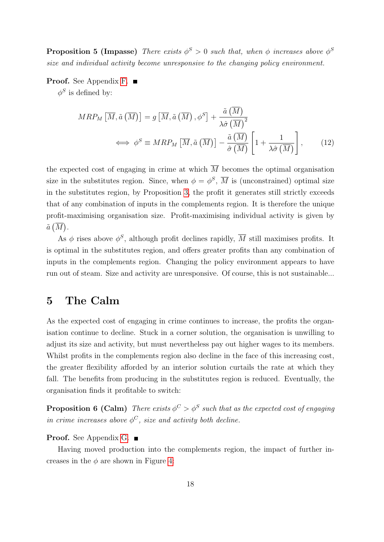**Proposition 5 (Impasse)** There exists  $\phi^S > 0$  such that, when  $\phi$  increases above  $\phi^S$ size and individual activity become unresponsive to the changing policy environment.

Proof. See Appendix [F.](#page-24-1) ■

 $\phi^S$  is defined by:

$$
MRP_M\left[\overline{M}, \tilde{a}\left(\overline{M}\right)\right] = g\left[\overline{M}, \tilde{a}\left(\overline{M}\right), \phi^S\right] + \frac{\tilde{a}\left(\overline{M}\right)}{\lambda \hat{\sigma}\left(\overline{M}\right)^2}
$$
  

$$
\iff \phi^S \equiv MRP_M\left[\overline{M}, \tilde{a}\left(\overline{M}\right)\right] - \frac{\tilde{a}\left(\overline{M}\right)}{\hat{\sigma}\left(\overline{M}\right)} \left[1 + \frac{1}{\lambda \hat{\sigma}\left(\overline{M}\right)}\right],
$$
(12)

the expected cost of engaging in crime at which  $\overline{M}$  becomes the optimal organisation size in the substitutes region. Since, when  $\phi = \phi^S$ ,  $\overline{M}$  is (unconstrained) optimal size in the substitutes region, by Proposition [3,](#page-14-1) the profit it generates still strictly exceeds that of any combination of inputs in the complements region. It is therefore the unique profit-maximising organisation size. Profit-maximising individual activity is given by  $\tilde{a}(\overline{M}).$ 

As  $\phi$  rises above  $\phi^S$ , although profit declines rapidly,  $\overline{M}$  still maximises profits. It is optimal in the substitutes region, and offers greater profits than any combination of inputs in the complements region. Changing the policy environment appears to have run out of steam. Size and activity are unresponsive. Of course, this is not sustainable...

#### 5 The Calm

As the expected cost of engaging in crime continues to increase, the profits the organisation continue to decline. Stuck in a corner solution, the organisation is unwilling to adjust its size and activity, but must nevertheless pay out higher wages to its members. Whilst profits in the complements region also decline in the face of this increasing cost, the greater flexibility afforded by an interior solution curtails the rate at which they fall. The benefits from producing in the substitutes region is reduced. Eventually, the organisation finds it profitable to switch:

<span id="page-18-0"></span>**Proposition 6 (Calm)** There exists  $\phi^C > \phi^S$  such that as the expected cost of engaging in crime increases above  $\phi^C$ , size and activity both decline.

#### **Proof.** See Appendix [G.](#page-25-0) ■

Having moved production into the complements region, the impact of further increases in the  $\phi$  are shown in Figure [4:](#page-19-0)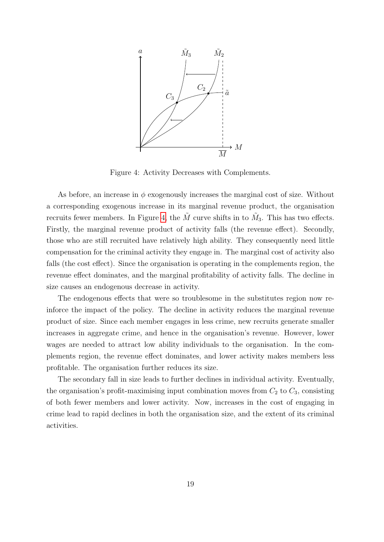

<span id="page-19-0"></span>Figure 4: Activity Decreases with Complements.

As before, an increase in  $\phi$  exogenously increases the marginal cost of size. Without a corresponding exogenous increase in its marginal revenue product, the organisation recruits fewer members. In Figure [4,](#page-19-0) the  $\tilde{M}$  curve shifts in to  $\tilde{M}_3$ . This has two effects. Firstly, the marginal revenue product of activity falls (the revenue effect). Secondly, those who are still recruited have relatively high ability. They consequently need little compensation for the criminal activity they engage in. The marginal cost of activity also falls (the cost effect). Since the organisation is operating in the complements region, the revenue effect dominates, and the marginal profitability of activity falls. The decline in size causes an endogenous decrease in activity.

The endogenous effects that were so troublesome in the substitutes region now reinforce the impact of the policy. The decline in activity reduces the marginal revenue product of size. Since each member engages in less crime, new recruits generate smaller increases in aggregate crime, and hence in the organisation's revenue. However, lower wages are needed to attract low ability individuals to the organisation. In the complements region, the revenue effect dominates, and lower activity makes members less profitable. The organisation further reduces its size.

The secondary fall in size leads to further declines in individual activity. Eventually, the organisation's profit-maximising input combination moves from  $C_2$  to  $C_3$ , consisting of both fewer members and lower activity. Now, increases in the cost of engaging in crime lead to rapid declines in both the organisation size, and the extent of its criminal activities.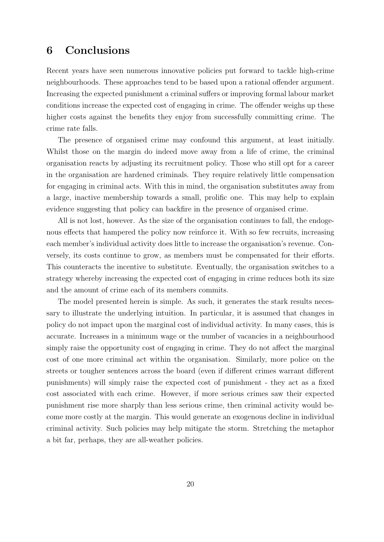## <span id="page-20-0"></span>6 Conclusions

Recent years have seen numerous innovative policies put forward to tackle high-crime neighbourhoods. These approaches tend to be based upon a rational offender argument. Increasing the expected punishment a criminal suffers or improving formal labour market conditions increase the expected cost of engaging in crime. The offender weighs up these higher costs against the benefits they enjoy from successfully committing crime. The crime rate falls.

The presence of organised crime may confound this argument, at least initially. Whilst those on the margin do indeed move away from a life of crime, the criminal organisation reacts by adjusting its recruitment policy. Those who still opt for a career in the organisation are hardened criminals. They require relatively little compensation for engaging in criminal acts. With this in mind, the organisation substitutes away from a large, inactive membership towards a small, prolific one. This may help to explain evidence suggesting that policy can backfire in the presence of organised crime.

All is not lost, however. As the size of the organisation continues to fall, the endogenous effects that hampered the policy now reinforce it. With so few recruits, increasing each member's individual activity does little to increase the organisation's revenue. Conversely, its costs continue to grow, as members must be compensated for their efforts. This counteracts the incentive to substitute. Eventually, the organisation switches to a strategy whereby increasing the expected cost of engaging in crime reduces both its size and the amount of crime each of its members commits.

The model presented herein is simple. As such, it generates the stark results necessary to illustrate the underlying intuition. In particular, it is assumed that changes in policy do not impact upon the marginal cost of individual activity. In many cases, this is accurate. Increases in a minimum wage or the number of vacancies in a neighbourhood simply raise the opportunity cost of engaging in crime. They do not affect the marginal cost of one more criminal act within the organisation. Similarly, more police on the streets or tougher sentences across the board (even if different crimes warrant different punishments) will simply raise the expected cost of punishment - they act as a fixed cost associated with each crime. However, if more serious crimes saw their expected punishment rise more sharply than less serious crime, then criminal activity would become more costly at the margin. This would generate an exogenous decline in individual criminal activity. Such policies may help mitigate the storm. Stretching the metaphor a bit far, perhaps, they are all-weather policies.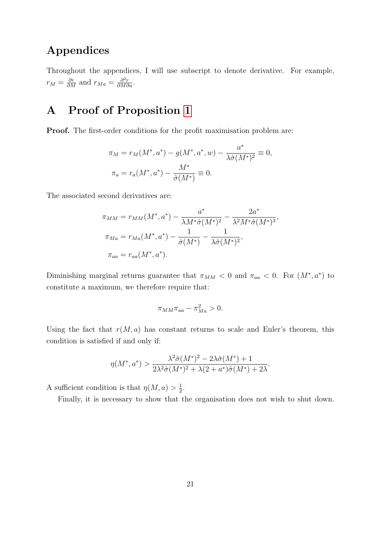## Appendices

Throughout the appendices, I will use subscript to denote derivative. For example,  $r_M = \frac{\partial r}{\partial M}$  and  $r_{Ma} = \frac{\partial^2 r}{\partial M \partial a}$ .

# <span id="page-21-0"></span>A Proof of Proposition [1](#page-9-4)

Proof. The first-order conditions for the profit maximisation problem are:

$$
\pi_M = r_M(M^*, a^*) - g(M^*, a^*, w) - \frac{a^*}{\lambda \hat{\sigma}(M^*)^2} \equiv 0,
$$
  

$$
\pi_a = r_a(M^*, a^*) - \frac{M^*}{\hat{\sigma}(M^*)} \equiv 0.
$$

The associated second derivatives are:

$$
\pi_{MM} = r_{MM}(M^*, a^*) - \frac{a^*}{\lambda M^* \hat{\sigma}(M^*)^2} - \frac{2a^*}{\lambda^2 M^* \hat{\sigma}(M^*)^3},
$$
  

$$
\pi_{Ma} = r_{Ma}(M^*, a^*) - \frac{1}{\hat{\sigma}(M^*)} - \frac{1}{\lambda \hat{\sigma}(M^*)^2},
$$
  

$$
\pi_{aa} = r_{aa}(M^*, a^*).
$$

Diminishing marginal returns guarantee that  $\pi_{MM} < 0$  and  $\pi_{aa} < 0$ . For  $(M^*, a^*)$  to constitute a maximum, we therefore require that:

$$
\pi_{MM}\pi_{aa} - \pi_{Ma}^2 > 0.
$$

Using the fact that  $r(M, a)$  has constant returns to scale and Euler's theorem, this condition is satisfied if and only if:

$$
\eta(M^*, a^*) > \frac{\lambda^2 \hat{\sigma}(M^*)^2 - 2\lambda \hat{\sigma}(M^*) + 1}{2\lambda^2 \hat{\sigma}(M^*)^2 + \lambda(2 + a^*)\hat{\sigma}(M^*) + 2\lambda}
$$

A sufficient condition is that  $\eta(M, a) > \frac{1}{2}$  $\frac{1}{2}$ .

Finally, it is necessary to show that the organisation does not wish to shut down.

.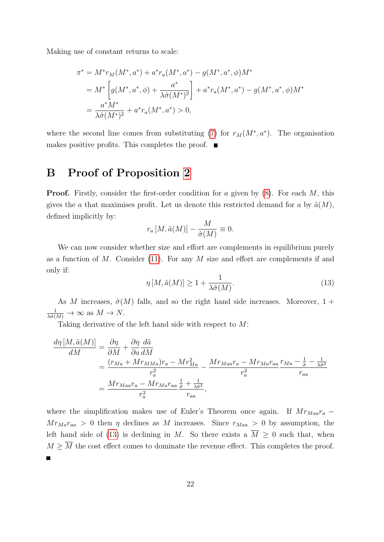Making use of constant returns to scale:

$$
\pi^* = M^* r_M(M^*, a^*) + a^* r_a(M^*, a^*) - g(M^*, a^*, \phi) M^*
$$
  
= 
$$
M^* \left[ g(M^*, a^*, \phi) + \frac{a^*}{\lambda \hat{\sigma}(M^*)^2} \right] + a^* r_a(M^*, a^*) - g(M^*, a^*, \phi) M^*
$$
  
= 
$$
\frac{a^* M^*}{\lambda \hat{\sigma}(M^*)^2} + a^* r_a(M^*, a^*) > 0,
$$

where the second line comes from substituting [\(7\)](#page-9-2) for  $r_M(M^*, a^*)$ . The organisation makes positive profits. This completes the proof.  $\blacksquare$ 

#### <span id="page-22-0"></span>B Proof of Proposition [2](#page-11-2)

**Proof.** Firstly, consider the first-order condition for a given by  $(8)$ . For each M, this gives the a that maximises profit. Let us denote this restricted demand for a by  $\tilde{a}(M)$ , defined implicitly by:

$$
r_a\left[M,\tilde{a}(M)\right]-\frac{M}{\hat{\sigma}(M)}\equiv 0.
$$

We can now consider whether size and effort are complements in equilibrium purely as a function of  $M$ . Consider [\(11\)](#page-10-2). For any  $M$  size and effort are complements if and only if:

<span id="page-22-1"></span>
$$
\eta\left[M,\tilde{a}(M)\right] \ge 1 + \frac{1}{\lambda \hat{\sigma}(M)}.\tag{13}
$$

As M increases,  $\hat{\sigma}(M)$  falls, and so the right hand side increases. Moreover, 1 +  $\frac{1}{\lambda \hat{\sigma}(M)} \to \infty$  as  $M \to N$ .

Taking derivative of the left hand side with respect to  $M$ :

$$
\frac{d\eta \left[M, \tilde{a}(M)\right]}{dM} = \frac{\partial \eta}{\partial M} + \frac{\partial \eta}{\partial a} \frac{d\tilde{a}}{dM}
$$
\n
$$
= \frac{(r_{Ma} + Mr_{MMa})r_a - Mr_{Ma}^2}{r_a^2} - \frac{Mr_{Ma}r_a - Mr_{Ma}r_{aa}}{r_a^2} \frac{r_{Ma} - \frac{1}{\hat{\sigma}} - \frac{1}{\lambda \hat{\sigma}^2}}{r_{aa}}
$$
\n
$$
= \frac{Mr_{Ma}r_a - Mr_{Ma}r_{aa}}{r_a^2},
$$

where the simplification makes use of Euler's Theorem once again. If  $Mr_{Maa}r_a$  −  $Mr_{Ma}r_{aa} > 0$  then  $\eta$  declines as M increases. Since  $r_{Maa} > 0$  by assumption, the left hand side of [\(13\)](#page-22-1) is declining in M. So there exists a  $\overline{M} \geq 0$  such that, when  $M \geq \overline{M}$  the cost effect comes to dominate the revenue effect. This completes the proof.  $\blacksquare$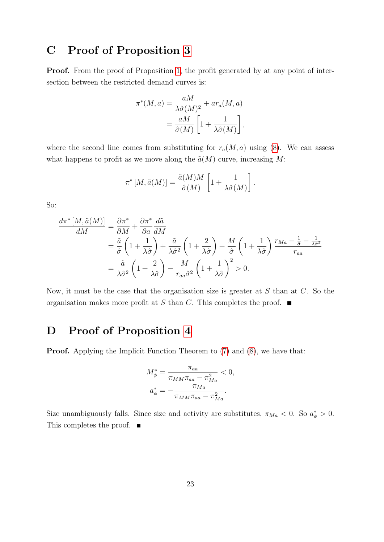## <span id="page-23-0"></span>C Proof of Proposition [3](#page-14-1)

Proof. From the proof of Proposition [1,](#page-9-4) the profit generated by at any point of intersection between the restricted demand curves is:

$$
\pi^*(M, a) = \frac{aM}{\lambda \hat{\sigma}(M)^2} + ar_a(M, a)
$$

$$
= \frac{aM}{\hat{\sigma}(M)} \left[ 1 + \frac{1}{\lambda \hat{\sigma}(M)} \right],
$$

where the second line comes from substituting for  $r_a(M, a)$  using [\(8\)](#page-9-3). We can assess what happens to profit as we move along the  $\tilde{a}(M)$  curve, increasing M:

$$
\pi^*[M, \tilde{a}(M)] = \frac{\tilde{a}(M)M}{\hat{\sigma}(M)} \left[1 + \frac{1}{\lambda \hat{\sigma}(M)}\right].
$$

So:

$$
\frac{d\pi^* [M, \tilde{a}(M)]}{dM} = \frac{\partial \pi^*}{\partial M} + \frac{\partial \pi^*}{\partial a} \frac{d\tilde{a}}{dM}
$$
  
\n
$$
= \frac{\tilde{a}}{\hat{\sigma}} \left( 1 + \frac{1}{\lambda \hat{\sigma}} \right) + \frac{\tilde{a}}{\lambda \hat{\sigma}^2} \left( 1 + \frac{2}{\lambda \hat{\sigma}} \right) + \frac{M}{\hat{\sigma}} \left( 1 + \frac{1}{\lambda \hat{\sigma}} \right) \frac{r_{Ma} - \frac{1}{\hat{\sigma}} - \frac{1}{\lambda \hat{\sigma}^2}}{r_{aa}}
$$
  
\n
$$
= \frac{\tilde{a}}{\lambda \hat{\sigma}^2} \left( 1 + \frac{2}{\lambda \hat{\sigma}} \right) - \frac{M}{r_{aa} \hat{\sigma}^2} \left( 1 + \frac{1}{\lambda \hat{\sigma}} \right)^2 > 0.
$$

Now, it must be the case that the organisation size is greater at  $S$  than at  $C$ . So the organisation makes more profit at S than C. This completes the proof.  $\blacksquare$ 

#### <span id="page-23-1"></span>D Proof of Proposition [4](#page-16-1)

**Proof.** Applying the Implicit Function Theorem to  $(7)$  and  $(8)$ , we have that:

$$
M_{\phi}^{*} = \frac{\pi_{aa}}{\pi_{MM}\pi_{aa} - \pi_{Ma}^{2}} < 0,
$$
  

$$
a_{\phi}^{*} = -\frac{\pi_{Ma}}{\pi_{MM}\pi_{aa} - \pi_{Ma}^{2}}.
$$

Size unambiguously falls. Since size and activity are substitutes,  $\pi_{Ma} < 0$ . So  $a^*_{\phi} > 0$ . This completes the proof. ■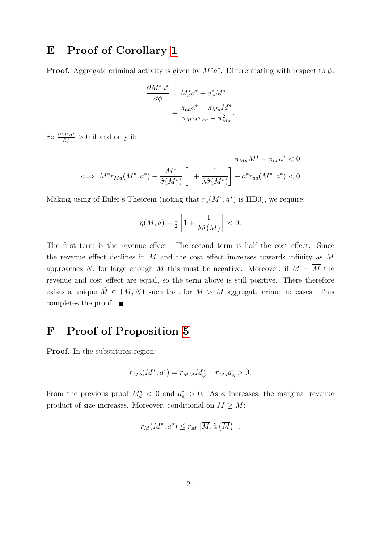### <span id="page-24-0"></span>E Proof of Corollary [1](#page-17-0)

**Proof.** Aggregate criminal activity is given by  $M^*a^*$ . Differentiating with respect to  $\phi$ :

$$
\frac{\partial M^* a^*}{\partial \phi} = M_{\phi}^* a^* + a_{\phi}^* M^*
$$

$$
= \frac{\pi_{aa} a^* - \pi_{Ma} M^*}{\pi_{MM} \pi_{aa} - \pi_{Ma}^2}.
$$

So  $\frac{\partial M^* a^*}{\partial \phi} > 0$  if and only if:

$$
\iff M^* r_{Ma}(M^*, a^*) - \frac{M^*}{\hat{\sigma}(M^*)} \left[1 + \frac{1}{\lambda \hat{\sigma}(M^*)}\right] - a^* r_{aa}(M^*, a^*) < 0.
$$

Making using of Euler's Theorem (noting that  $r_a(M^*, a^*)$  is HD0), we require:

$$
\eta(M, a) - \frac{1}{2} \left[ 1 + \frac{1}{\lambda \hat{\sigma}(M)} \right] < 0.
$$

The first term is the revenue effect. The second term is half the cost effect. Since the revenue effect declines in  $M$  and the cost effect increases towards infinity as  $M$ approaches N, for large enough M this must be negative. Moreover, if  $M = \overline{M}$  the revenue and cost effect are equal, so the term above is still positive. There therefore exists a unique  $\hat{M} \in (\overline{M}, N)$  such that for  $M > \hat{M}$  aggregate crime increases. This completes the proof.  $\blacksquare$ 

## <span id="page-24-1"></span>F Proof of Proposition [5](#page-17-1)

Proof. In the substitutes region:

$$
r_{M\phi}(M^*,a^*) = r_{MM}M_{\phi}^* + r_{Ma}a_{\phi}^* > 0.
$$

From the previous proof  $M^*_{\phi} < 0$  and  $a^*_{\phi} > 0$ . As  $\phi$  increases, the marginal revenue product of size increases. Moreover, conditional on  $M \geq \overline{M}$ :

$$
r_M(M^*, a^*) \le r_M \left[ \overline{M}, \tilde{a} \left( \overline{M} \right) \right].
$$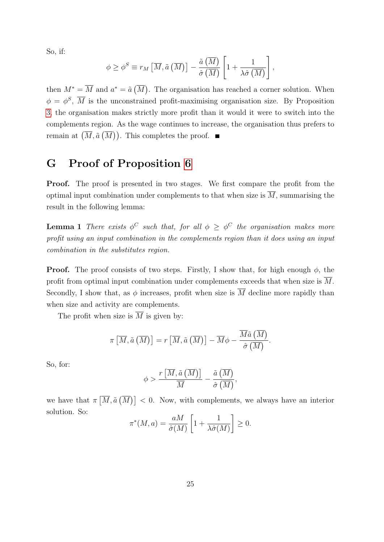So, if:

$$
\phi \geq \phi^{S} \equiv r_{M} \left[ \overline{M}, \tilde{a} \left( \overline{M} \right) \right] - \frac{\tilde{a} \left( \overline{M} \right)}{\hat{\sigma} \left( \overline{M} \right)} \left[ 1 + \frac{1}{\lambda \hat{\sigma} \left( \overline{M} \right)} \right],
$$

then  $M^* = \overline{M}$  and  $a^* = \tilde{a}(\overline{M})$ . The organisation has reached a corner solution. When  $\phi = \phi^S$ ,  $\overline{M}$  is the unconstrained profit-maximising organisation size. By Proposition [3,](#page-14-1) the organisation makes strictly more profit than it would it were to switch into the complements region. As the wage continues to increase, the organisation thus prefers to remain at  $(\overline{M}, \tilde{a}(\overline{M}))$ . This completes the proof.

## <span id="page-25-0"></span>G Proof of Proposition [6](#page-18-0)

Proof. The proof is presented in two stages. We first compare the profit from the optimal input combination under complements to that when size is  $\overline{M}$ , summarising the result in the following lemma:

**Lemma 1** There exists  $\phi^C$  such that, for all  $\phi \geq \phi^C$  the organisation makes more profit using an input combination in the complements region than it does using an input combination in the substitutes region.

**Proof.** The proof consists of two steps. Firstly, I show that, for high enough  $\phi$ , the profit from optimal input combination under complements exceeds that when size is  $\overline{M}$ . Secondly, I show that, as  $\phi$  increases, profit when size is  $\overline{M}$  decline more rapidly than when size and activity are complements.

The profit when size is  $\overline{M}$  is given by:

$$
\pi\left[\overline{M},\tilde{a}\left(\overline{M}\right)\right]=r\left[\overline{M},\tilde{a}\left(\overline{M}\right)\right]-\overline{M}\phi-\dfrac{\overline{M}\tilde{a}\left(\overline{M}\right)}{\hat{\sigma}\left(\overline{M}\right)}.
$$

So, for:

$$
\phi > \frac{r\left[\overline{M}, \tilde{a}\left(\overline{M}\right)\right]}{\overline{M}} - \frac{\tilde{a}\left(\overline{M}\right)}{\hat{\sigma}\left(\overline{M}\right)},
$$

we have that  $\pi\left[\overline{M}, \tilde{a}(\overline{M})\right] < 0$ . Now, with complements, we always have an interior solution. So:

$$
\pi^*(M, a) = \frac{aM}{\hat{\sigma}(M)} \left[ 1 + \frac{1}{\lambda \hat{\sigma}(M)} \right] \ge 0.
$$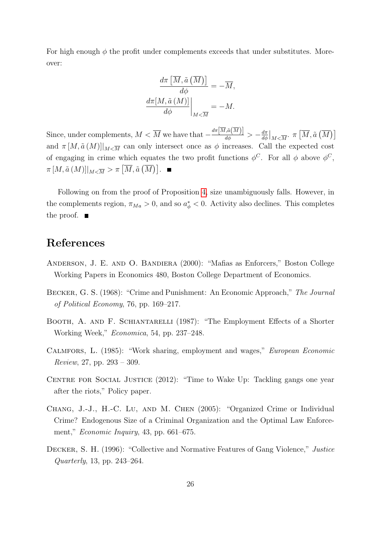For high enough  $\phi$  the profit under complements exceeds that under substitutes. Moreover:

$$
\frac{d\pi \left[ \overline{M}, \tilde{a} \left( \overline{M} \right) \right]}{d\phi} = -\overline{M},
$$
\n
$$
\frac{d\pi [M, \tilde{a} \left( M \right)]}{d\phi} \bigg|_{M < \overline{M}} = -M.
$$

Since, under complements,  $M < \overline{M}$  we have that  $-\frac{d\pi[\overline{M}, \tilde{a}(\overline{M})]}{d\phi} > -\frac{d\pi}{d\phi}$  $\left. \frac{d\pi}{d\phi}\right|_{M<\overline{M}}$ .  $\pi\left[\overline{M}, \tilde{a}\left(\overline{M}\right)\right]$ and  $\pi [M, \tilde{a}(M)]|_{M \leq \overline{M}}$  can only intersect once as  $\phi$  increases. Call the expected cost of engaging in crime which equates the two profit functions  $\phi^C$ . For all  $\phi$  above  $\phi^C$ ,  $\pi\left[M,\tilde{a}\left(M\right)\right]\vert_{M<\overline{M}}>\pi\left[\overline{M},\tilde{a}\left(\overline{M}\right)\right].$ 

Following on from the proof of Proposition [4,](#page-16-1) size unambiguously falls. However, in the complements region,  $\pi_{Ma} > 0$ , and so  $a^*_{\phi} < 0$ . Activity also declines. This completes the proof.  $\blacksquare$ 

#### References

- <span id="page-26-3"></span>Anderson, J. E. and O. Bandiera (2000): "Mafias as Enforcers," Boston College Working Papers in Economics 480, Boston College Department of Economics.
- <span id="page-26-0"></span>Becker, G. S. (1968): "Crime and Punishment: An Economic Approach," The Journal of Political Economy, 76, pp. 169–217.
- <span id="page-26-6"></span>Booth, A. and F. Schiantarelli (1987): "The Employment Effects of a Shorter Working Week," Economica, 54, pp. 237–248.
- <span id="page-26-5"></span>Calmfors, L. (1985): "Work sharing, employment and wages," European Economic *Review*, 27, pp.  $293 - 309$ .
- <span id="page-26-1"></span>CENTRE FOR SOCIAL JUSTICE (2012): "Time to Wake Up: Tackling gangs one year after the riots," Policy paper.
- <span id="page-26-4"></span>Chang, J.-J., H.-C. Lu, and M. Chen (2005): "Organized Crime or Individual Crime? Endogenous Size of a Criminal Organization and the Optimal Law Enforcement," Economic Inquiry, 43, pp. 661–675.
- <span id="page-26-2"></span>Decker, S. H. (1996): "Collective and Normative Features of Gang Violence," Justice Quarterly, 13, pp. 243–264.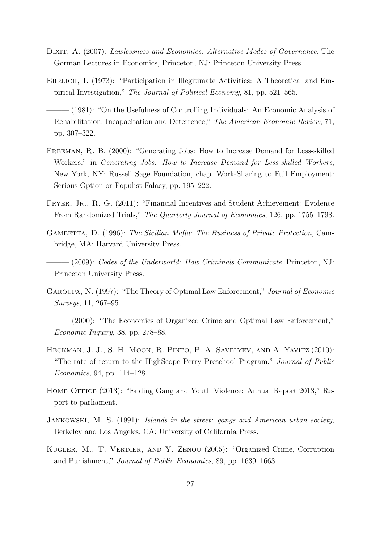- <span id="page-27-10"></span>DIXIT, A. (2007): Lawlessness and Economics: Alternative Modes of Governance, The Gorman Lectures in Economics, Princeton, NJ: Princeton University Press.
- <span id="page-27-1"></span>Ehrlich, I. (1973): "Participation in Illegitimate Activities: A Theoretical and Empirical Investigation," The Journal of Political Economy, 81, pp. 521–565.
- <span id="page-27-0"></span>– (1981): "On the Usefulness of Controlling Individuals: An Economic Analysis of Rehabilitation, Incapacitation and Deterrence," The American Economic Review, 71, pp. 307–322.
- <span id="page-27-11"></span>Freeman, R. B. (2000): "Generating Jobs: How to Increase Demand for Less-skilled Workers," in Generating Jobs: How to Increase Demand for Less-skilled Workers, New York, NY: Russell Sage Foundation, chap. Work-Sharing to Full Employment: Serious Option or Populist Falacy, pp. 195–222.
- <span id="page-27-3"></span>FRYER, JR., R. G. (2011): "Financial Incentives and Student Achievement: Evidence From Randomized Trials," The Quarterly Journal of Economics, 126, pp. 1755–1798.
- <span id="page-27-7"></span>GAMBETTA, D. (1996): The Sicilian Mafia: The Business of Private Protection, Cambridge, MA: Harvard University Press.
- <span id="page-27-6"></span> $(2009)$ : Codes of the Underworld: How Criminals Communicate, Princeton, NJ: Princeton University Press.
- <span id="page-27-12"></span>Garoupa, N. (1997): "The Theory of Optimal Law Enforcement," Journal of Economic Surveys, 11, 267–95.
- <span id="page-27-8"></span> $(2000)$ : "The Economics of Organized Crime and Optimal Law Enforcement," Economic Inquiry, 38, pp. 278–88.
- <span id="page-27-2"></span>Heckman, J. J., S. H. Moon, R. Pinto, P. A. Savelyev, and A. Yavitz (2010): "The rate of return to the HighScope Perry Preschool Program," Journal of Public Economics, 94, pp. 114–128.
- <span id="page-27-4"></span>Home Office (2013): "Ending Gang and Youth Violence: Annual Report 2013," Report to parliament.
- <span id="page-27-5"></span>Jankowski, M. S. (1991): Islands in the street: gangs and American urban society, Berkeley and Los Angeles, CA: University of California Press.
- <span id="page-27-9"></span>Kugler, M., T. Verdier, and Y. Zenou (2005): "Organized Crime, Corruption and Punishment," Journal of Public Economics, 89, pp. 1639–1663.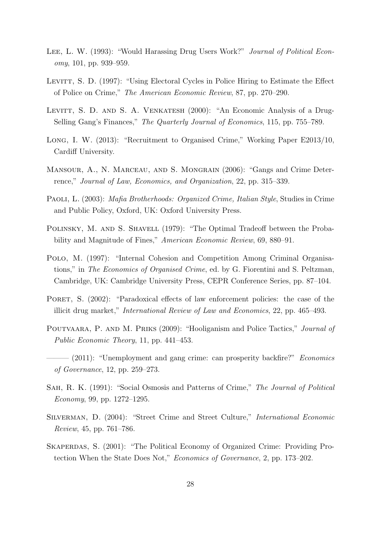- <span id="page-28-1"></span>LEE, L. W. (1993): "Would Harassing Drug Users Work?" *Journal of Political Econ*omy, 101, pp. 939–959.
- <span id="page-28-12"></span>LEVITT, S. D. (1997): "Using Electoral Cycles in Police Hiring to Estimate the Effect of Police on Crime," The American Economic Review, 87, pp. 270–290.
- <span id="page-28-8"></span>LEVITT, S. D. AND S. A. VENKATESH (2000): "An Economic Analysis of a Drug-Selling Gang's Finances," The Quarterly Journal of Economics, 115, pp. 755–789.
- <span id="page-28-13"></span>Long, I. W. (2013): "Recruitment to Organised Crime," Working Paper E2013/10, Cardiff University.
- <span id="page-28-3"></span>Mansour, A., N. Marceau, and S. Mongrain (2006): "Gangs and Crime Deterrence," Journal of Law, Economics, and Organization, 22, pp. 315–339.
- <span id="page-28-5"></span>Paoli, L. (2003): Mafia Brotherhoods: Organized Crime, Italian Style, Studies in Crime and Public Policy, Oxford, UK: Oxford University Press.
- <span id="page-28-0"></span>POLINSKY, M. AND S. SHAVELL (1979): "The Optimal Tradeoff between the Probability and Magnitude of Fines," American Economic Review, 69, 880–91.
- <span id="page-28-4"></span>Polo, M. (1997): "Internal Cohesion and Competition Among Criminal Organisations," in The Economics of Organised Crime, ed. by G. Fiorentini and S. Peltzman, Cambridge, UK: Cambridge University Press, CEPR Conference Series, pp. 87–104.
- <span id="page-28-2"></span>PORET, S. (2002): "Paradoxical effects of law enforcement policies: the case of the illicit drug market," International Review of Law and Economics, 22, pp. 465–493.
- <span id="page-28-9"></span>Poutvaara, P. and M. Priks (2009): "Hooliganism and Police Tactics," Journal of Public Economic Theory, 11, pp. 441–453.
- <span id="page-28-10"></span> $-$  (2011): "Unemployment and gang crime: can prosperity backfire?" *Economics* of Governance, 12, pp. 259–273.
- <span id="page-28-11"></span>Sah, R. K. (1991): "Social Osmosis and Patterns of Crime," The Journal of Political Economy, 99, pp. 1272–1295.
- <span id="page-28-7"></span>Silverman, D. (2004): "Street Crime and Street Culture," International Economic Review, 45, pp. 761–786.
- <span id="page-28-6"></span>SKAPERDAS, S. (2001): "The Political Economy of Organized Crime: Providing Protection When the State Does Not," Economics of Governance, 2, pp. 173–202.